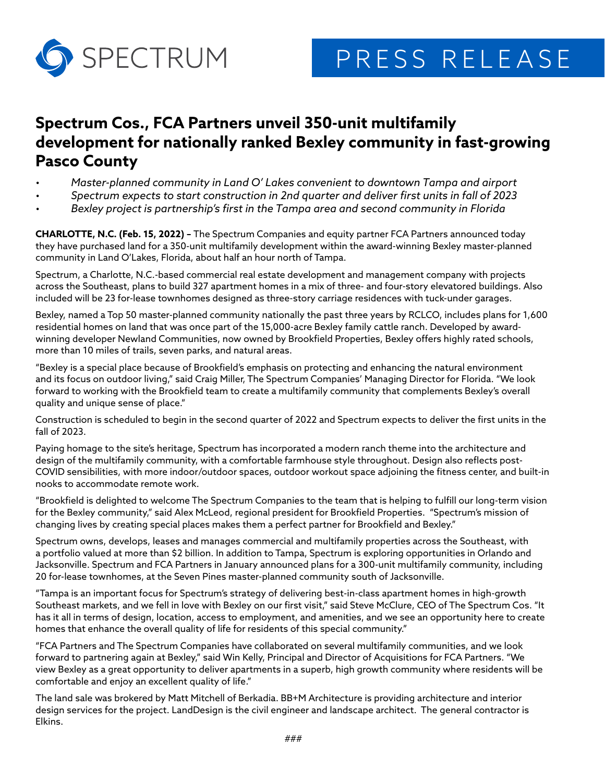

## **Spectrum Cos., FCA Partners unveil 350-unit multifamily development for nationally ranked Bexley community in fast-growing Pasco County**

- *Master-planned community in Land O' Lakes convenient to downtown Tampa and airport*
- *Spectrum expects to start construction in 2nd quarter and deliver first units in fall of 2023*
- *Bexley project is partnership's first in the Tampa area and second community in Florida*

**CHARLOTTE, N.C. (Feb. 15, 2022) –** The Spectrum Companies and equity partner FCA Partners announced today they have purchased land for a 350-unit multifamily development within the award-winning Bexley master-planned community in Land O'Lakes, Florida, about half an hour north of Tampa.

Spectrum, a Charlotte, N.C.-based commercial real estate development and management company with projects across the Southeast, plans to build 327 apartment homes in a mix of three- and four-story elevatored buildings. Also included will be 23 for-lease townhomes designed as three-story carriage residences with tuck-under garages.

Bexley, named a Top 50 master-planned community nationally the past three years by RCLCO, includes plans for 1,600 residential homes on land that was once part of the 15,000-acre Bexley family cattle ranch. Developed by awardwinning developer Newland Communities, now owned by Brookfield Properties, Bexley offers highly rated schools, more than 10 miles of trails, seven parks, and natural areas.

"Bexley is a special place because of Brookfield's emphasis on protecting and enhancing the natural environment and its focus on outdoor living," said Craig Miller, The Spectrum Companies' Managing Director for Florida. "We look forward to working with the Brookfield team to create a multifamily community that complements Bexley's overall quality and unique sense of place."

Construction is scheduled to begin in the second quarter of 2022 and Spectrum expects to deliver the first units in the fall of 2023.

Paying homage to the site's heritage, Spectrum has incorporated a modern ranch theme into the architecture and design of the multifamily community, with a comfortable farmhouse style throughout. Design also reflects post-COVID sensibilities, with more indoor/outdoor spaces, outdoor workout space adjoining the fitness center, and built-in nooks to accommodate remote work.

"Brookfield is delighted to welcome The Spectrum Companies to the team that is helping to fulfill our long-term vision for the Bexley community," said Alex McLeod, regional president for Brookfield Properties. "Spectrum's mission of changing lives by creating special places makes them a perfect partner for Brookfield and Bexley."

Spectrum owns, develops, leases and manages commercial and multifamily properties across the Southeast, with a portfolio valued at more than \$2 billion. In addition to Tampa, Spectrum is exploring opportunities in Orlando and Jacksonville. Spectrum and FCA Partners in January announced plans for a 300-unit multifamily community, including 20 for-lease townhomes, at the Seven Pines master-planned community south of Jacksonville.

"Tampa is an important focus for Spectrum's strategy of delivering best-in-class apartment homes in high-growth Southeast markets, and we fell in love with Bexley on our first visit," said Steve McClure, CEO of The Spectrum Cos. "It has it all in terms of design, location, access to employment, and amenities, and we see an opportunity here to create homes that enhance the overall quality of life for residents of this special community."

"FCA Partners and The Spectrum Companies have collaborated on several multifamily communities, and we look forward to partnering again at Bexley," said Win Kelly, Principal and Director of Acquisitions for FCA Partners. "We view Bexley as a great opportunity to deliver apartments in a superb, high growth community where residents will be comfortable and enjoy an excellent quality of life."

The land sale was brokered by Matt Mitchell of Berkadia. BB+M Architecture is providing architecture and interior design services for the project. LandDesign is the civil engineer and landscape architect. The general contractor is Elkins.